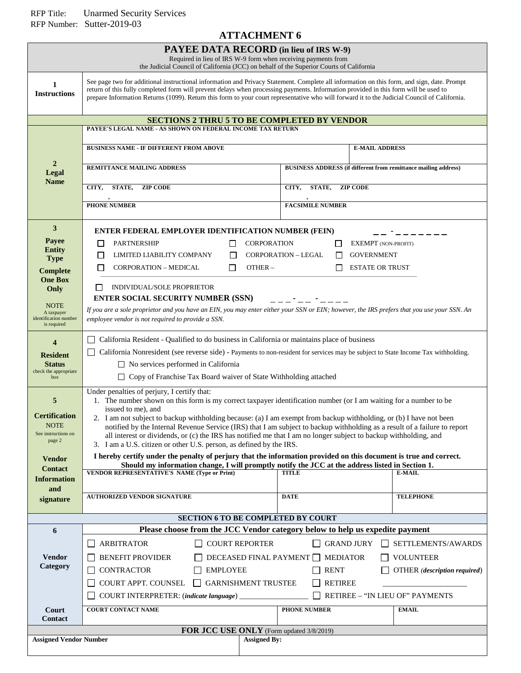## RFP Title: Unarmed Security Services RFP Number: Sutter-2019-03

## **ATTACHMENT 6**

| <b>PAYEE DATA RECORD</b> (in lieu of IRS W-9)<br>Required in lieu of IRS W-9 form when receiving payments from<br>the Judicial Council of California (JCC) on behalf of the Superior Courts of California |                                                                                                                                                                                                                                                                                                                                                                                                                                                                                                                                                                 |                                            |                                                                        |  |
|-----------------------------------------------------------------------------------------------------------------------------------------------------------------------------------------------------------|-----------------------------------------------------------------------------------------------------------------------------------------------------------------------------------------------------------------------------------------------------------------------------------------------------------------------------------------------------------------------------------------------------------------------------------------------------------------------------------------------------------------------------------------------------------------|--------------------------------------------|------------------------------------------------------------------------|--|
| <b>Instructions</b>                                                                                                                                                                                       | See page two for additional instructional information and Privacy Statement. Complete all information on this form, and sign, date. Prompt<br>return of this fully completed form will prevent delays when processing payments. Information provided in this form will be used to<br>prepare Information Returns (1099). Return this form to your court representative who will forward it to the Judicial Council of California.                                                                                                                               |                                            |                                                                        |  |
|                                                                                                                                                                                                           | <b>SECTIONS 2 THRU 5 TO BE COMPLETED BY VENDOR</b>                                                                                                                                                                                                                                                                                                                                                                                                                                                                                                              |                                            |                                                                        |  |
| PAYEE'S LEGAL NAME - AS SHOWN ON FEDERAL INCOME TAX RETURN                                                                                                                                                |                                                                                                                                                                                                                                                                                                                                                                                                                                                                                                                                                                 |                                            |                                                                        |  |
| $\boldsymbol{2}$<br>Legal<br><b>Name</b>                                                                                                                                                                  | <b>BUSINESS NAME - IF DIFFERENT FROM ABOVE</b>                                                                                                                                                                                                                                                                                                                                                                                                                                                                                                                  |                                            | <b>E-MAIL ADDRESS</b>                                                  |  |
|                                                                                                                                                                                                           |                                                                                                                                                                                                                                                                                                                                                                                                                                                                                                                                                                 |                                            |                                                                        |  |
|                                                                                                                                                                                                           | REMITTANCE MAILING ADDRESS                                                                                                                                                                                                                                                                                                                                                                                                                                                                                                                                      |                                            | <b>BUSINESS ADDRESS (if different from remittance mailing address)</b> |  |
|                                                                                                                                                                                                           | <b>ZIP CODE</b><br>CITY,<br>STATE,                                                                                                                                                                                                                                                                                                                                                                                                                                                                                                                              | <b>ZIP CODE</b><br>CITY,<br>STATE,         |                                                                        |  |
|                                                                                                                                                                                                           | <b>PHONE NUMBER</b>                                                                                                                                                                                                                                                                                                                                                                                                                                                                                                                                             | <b>FACSIMILE NUMBER</b>                    |                                                                        |  |
|                                                                                                                                                                                                           |                                                                                                                                                                                                                                                                                                                                                                                                                                                                                                                                                                 |                                            |                                                                        |  |
| 3                                                                                                                                                                                                         | <b>ENTER FEDERAL EMPLOYER IDENTIFICATION NUMBER (FEIN)</b><br>-- "-------                                                                                                                                                                                                                                                                                                                                                                                                                                                                                       |                                            |                                                                        |  |
| Payee<br><b>Entity</b>                                                                                                                                                                                    | <b>PARTNERSHIP</b><br><b>CORPORATION</b>                                                                                                                                                                                                                                                                                                                                                                                                                                                                                                                        |                                            | EXEMPT (NON-PROFIT)                                                    |  |
| <b>Type</b>                                                                                                                                                                                               | LIMITED LIABILITY COMPANY<br>$\mathbf{L}$<br>$\Box$                                                                                                                                                                                                                                                                                                                                                                                                                                                                                                             | <b>CORPORATION - LEGAL</b><br>$\mathbf{L}$ | <b>GOVERNMENT</b>                                                      |  |
| <b>Complete</b>                                                                                                                                                                                           | CORPORATION - MEDICAL<br>OTHER-<br>$\perp$                                                                                                                                                                                                                                                                                                                                                                                                                                                                                                                      | $\perp$                                    | <b>ESTATE OR TRUST</b>                                                 |  |
| <b>One Box</b><br>Only                                                                                                                                                                                    | INDIVIDUAL/SOLE PROPRIETOR                                                                                                                                                                                                                                                                                                                                                                                                                                                                                                                                      |                                            |                                                                        |  |
|                                                                                                                                                                                                           | <b>ENTER SOCIAL SECURITY NUMBER (SSN)</b><br><u>___-_-_-__</u>                                                                                                                                                                                                                                                                                                                                                                                                                                                                                                  |                                            |                                                                        |  |
| <b>NOTE</b><br>A taxpayer<br>identification number<br>is required                                                                                                                                         | If you are a sole proprietor and you have an EIN, you may enter either your SSN or EIN; however, the IRS prefers that you use your SSN. An<br>employee vendor is not required to provide a SSN.                                                                                                                                                                                                                                                                                                                                                                 |                                            |                                                                        |  |
|                                                                                                                                                                                                           | California Resident - Qualified to do business in California or maintains place of business<br>$\overline{\bf 4}$<br>California Nonresident (see reverse side) - Payments to non-resident for services may be subject to State Income Tax withholding.<br><b>Resident</b><br>$\Box$ No services performed in California<br><b>Status</b>                                                                                                                                                                                                                        |                                            |                                                                        |  |
|                                                                                                                                                                                                           |                                                                                                                                                                                                                                                                                                                                                                                                                                                                                                                                                                 |                                            |                                                                        |  |
| check the appropriate                                                                                                                                                                                     |                                                                                                                                                                                                                                                                                                                                                                                                                                                                                                                                                                 |                                            |                                                                        |  |
| box                                                                                                                                                                                                       | □ Copy of Franchise Tax Board waiver of State Withholding attached                                                                                                                                                                                                                                                                                                                                                                                                                                                                                              |                                            |                                                                        |  |
| 5                                                                                                                                                                                                         | Under penalties of perjury, I certify that:<br>1. The number shown on this form is my correct taxpayer identification number (or I am waiting for a number to be<br>issued to me), and                                                                                                                                                                                                                                                                                                                                                                          |                                            |                                                                        |  |
|                                                                                                                                                                                                           |                                                                                                                                                                                                                                                                                                                                                                                                                                                                                                                                                                 |                                            |                                                                        |  |
| <b>Certification</b><br><b>NOTE</b>                                                                                                                                                                       | 2. I am not subject to backup withholding because: (a) I am exempt from backup withholding, or (b) I have not been<br>notified by the Internal Revenue Service (IRS) that I am subject to backup withholding as a result of a failure to report<br>all interest or dividends, or (c) the IRS has notified me that I am no longer subject to backup withholding, and<br>3. I am a U.S. citizen or other U.S. person, as defined by the IRS.<br>I hereby certify under the penalty of perjury that the information provided on this document is true and correct. |                                            |                                                                        |  |
| See instructions on<br>page 2                                                                                                                                                                             |                                                                                                                                                                                                                                                                                                                                                                                                                                                                                                                                                                 |                                            |                                                                        |  |
|                                                                                                                                                                                                           |                                                                                                                                                                                                                                                                                                                                                                                                                                                                                                                                                                 |                                            |                                                                        |  |
| <b>Vendor</b><br><b>Contact</b>                                                                                                                                                                           | Should my information change, I will promptly notify the JCC at the address listed in Section 1.                                                                                                                                                                                                                                                                                                                                                                                                                                                                |                                            |                                                                        |  |
| <b>Information</b>                                                                                                                                                                                        | <b>VENDOR REPRESENTATIVE'S NAME (Type or Print)</b>                                                                                                                                                                                                                                                                                                                                                                                                                                                                                                             | <b>TITLE</b>                               | <b>E-MAIL</b>                                                          |  |
| and<br>signature                                                                                                                                                                                          | <b>AUTHORIZED VENDOR SIGNATURE</b>                                                                                                                                                                                                                                                                                                                                                                                                                                                                                                                              | <b>DATE</b>                                | <b>TELEPHONE</b>                                                       |  |
|                                                                                                                                                                                                           |                                                                                                                                                                                                                                                                                                                                                                                                                                                                                                                                                                 |                                            |                                                                        |  |
| <b>SECTION 6 TO BE COMPLETED BY COURT</b>                                                                                                                                                                 |                                                                                                                                                                                                                                                                                                                                                                                                                                                                                                                                                                 |                                            |                                                                        |  |
| 6                                                                                                                                                                                                         | Please choose from the JCC Vendor category below to help us expedite payment                                                                                                                                                                                                                                                                                                                                                                                                                                                                                    |                                            |                                                                        |  |
|                                                                                                                                                                                                           | <b>ARBITRATOR</b><br><b>COURT REPORTER</b>                                                                                                                                                                                                                                                                                                                                                                                                                                                                                                                      | <b>GRAND JURY</b>                          | SETTLEMENTS/AWARDS                                                     |  |
| Vendor<br>Category                                                                                                                                                                                        | <b>BENEFIT PROVIDER</b><br>DECEASED FINAL PAYMENT ■ MEDIATOR                                                                                                                                                                                                                                                                                                                                                                                                                                                                                                    |                                            | VOLUNTEER                                                              |  |
|                                                                                                                                                                                                           | <b>CONTRACTOR</b><br><b>EMPLOYEE</b><br>$\mathbf{L}$<br>COURT APPT. COUNSEL<br><b>GARNISHMENT TRUSTEE</b><br>$\perp$                                                                                                                                                                                                                                                                                                                                                                                                                                            | <b>RENT</b><br><b>RETIREE</b>              | OTHER (description required)                                           |  |
|                                                                                                                                                                                                           | COURT INTERPRETER: (indicate language)                                                                                                                                                                                                                                                                                                                                                                                                                                                                                                                          |                                            | RETIREE - "IN LIEU OF" PAYMENTS                                        |  |
| Court                                                                                                                                                                                                     | <b>COURT CONTACT NAME</b>                                                                                                                                                                                                                                                                                                                                                                                                                                                                                                                                       | <b>PHONE NUMBER</b>                        | <b>EMAIL</b>                                                           |  |
| <b>Contact</b>                                                                                                                                                                                            |                                                                                                                                                                                                                                                                                                                                                                                                                                                                                                                                                                 |                                            |                                                                        |  |
| FOR JCC USE ONLY (Form updated 3/8/2019)<br><b>Assigned Vendor Number</b><br><b>Assigned By:</b>                                                                                                          |                                                                                                                                                                                                                                                                                                                                                                                                                                                                                                                                                                 |                                            |                                                                        |  |
|                                                                                                                                                                                                           |                                                                                                                                                                                                                                                                                                                                                                                                                                                                                                                                                                 |                                            |                                                                        |  |